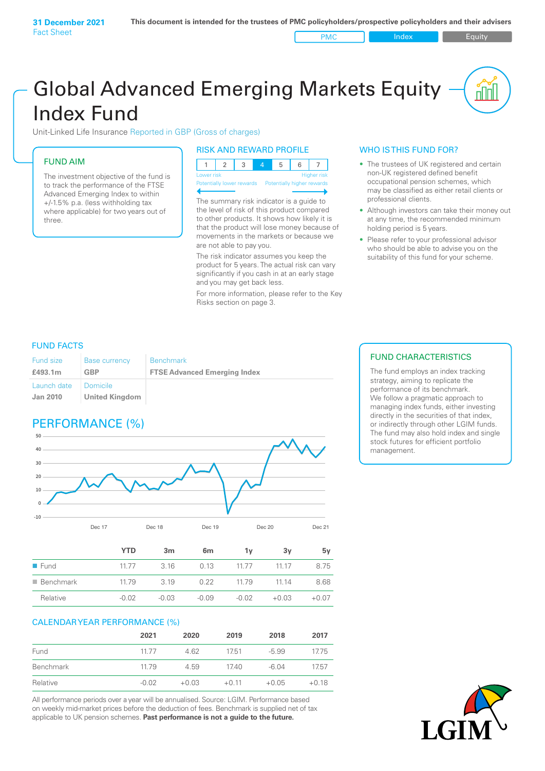PMC Index PMC Equity

# Global Advanced Emerging Markets Equity Index Fund

Unit-Linked Life Insurance Reported in GBP (Gross of charges)

## FUND AIM

The investment objective of the fund is to track the performance of the FTSE Advanced Emerging Index to within +/‑1.5% p.a. (less withholding tax where applicable) for two years out of three.

#### RISK AND REWARD PROFILE

| Lower risk |  |  | Higher risk |
|------------|--|--|-------------|

ntially lower rewards

The summary risk indicator is a guide to the level of risk of this product compared to other products. It shows how likely it is that the product will lose money because of movements in the markets or because we are not able to pay you.

The risk indicator assumes you keep the product for 5 years. The actual risk can vary significantly if you cash in at an early stage and you may get back less.

For more information, please refer to the Key Risks section on page 3.

# WHO IS THIS FUND FOR?

- The trustees of UK registered and certain non-UK registered defined benefit occupational pension schemes, which may be classified as either retail clients or professional clients.
- Although investors can take their money out at any time, the recommended minimum holding period is 5 years.
- Please refer to your professional advisor who should be able to advise you on the suitability of this fund for your scheme.

## FUND FACTS

| <b>Fund size</b>               | <b>Base currency</b>              | <b>Benchmark</b>                    |
|--------------------------------|-----------------------------------|-------------------------------------|
| £493.1m                        | GBP                               | <b>FTSE Advanced Emerging Index</b> |
| Launch date<br><b>Jan 2010</b> | Domicile<br><b>United Kingdom</b> |                                     |

# PERFORMANCE (%)



|                          | YTD     | 3 <sub>m</sub> | 6m      | 1v      | 3v      | 5v      |
|--------------------------|---------|----------------|---------|---------|---------|---------|
| $\blacksquare$ Fund      | 1177    | 3.16           | 0.13    | 1177    | 11 17   | 8.75    |
| $\blacksquare$ Benchmark | 1179    | 3 1 9          | 0.22    | 1179    | 11 14   | 8.68    |
| Relative                 | $-0.02$ | $-0.03$        | $-0.09$ | $-0.02$ | $+0.03$ | $+0.07$ |

#### CALENDAR YEAR PERFORMANCE (%)

|           | 2021    | 2020    | 2019    | 2018    | 2017    |
|-----------|---------|---------|---------|---------|---------|
| Fund      | 1177    | 4.62    | 1751    | $-5.99$ | 17.75   |
| Benchmark | 11.79   | 4.59    | 17.40   | $-6.04$ | 17.57   |
| Relative  | $-0.02$ | $+0.03$ | $+0.11$ | $+0.05$ | $+0.18$ |

All performance periods over a year will be annualised. Source: LGIM. Performance based on weekly mid-market prices before the deduction of fees. Benchmark is supplied net of tax applicable to UK pension schemes. **Past performance is not a guide to the future.**

## FUND CHARACTERISTICS

The fund employs an index tracking strategy, aiming to replicate the performance of its benchmark. We follow a pragmatic approach to managing index funds, either investing directly in the securities of that index, or indirectly through other LGIM funds. The fund may also hold index and single stock futures for efficient portfolio management.

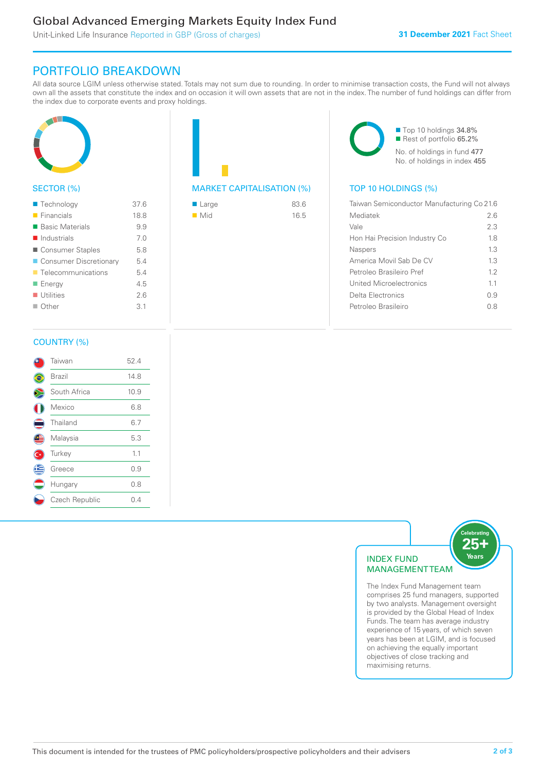# Global Advanced Emerging Markets Equity Index Fund

Unit-Linked Life Insurance Reported in GBP (Gross of charges)

# PORTFOLIO BREAKDOWN

All data source LGIM unless otherwise stated. Totals may not sum due to rounding. In order to minimise transaction costs, the Fund will not always own all the assets that constitute the index and on occasion it will own assets that are not in the index. The number of fund holdings can differ from the index due to corporate events and proxy holdings.



## SECTOR (%)

| ■ Technology               | 37.6 |
|----------------------------|------|
| $\blacksquare$ Financials  | 18.8 |
| ■ Basic Materials          | 9.9  |
| $\blacksquare$ Industrials | 7.0  |
| ■ Consumer Staples         | 5.8  |
| ■ Consumer Discretionary   | 5.4  |
| ■ Telecommunications       | 5.4  |
| ■ Energy                   | 4.5  |
| $\blacksquare$ Utilities   | 2.6  |
| $\Box$ Other               | 3.1  |
|                            |      |

| <b>MARKET CAPITALISATION (%</b> |  |
|---------------------------------|--|

| ■ Large            | 83.6 |
|--------------------|------|
| $\blacksquare$ Mid | 16.5 |

■ Top 10 holdings 34.8% Rest of portfolio 65.2% No. of holdings in fund 477 No. of holdings in index 455

## TOP 10 HOLDINGS (%)

| Taiwan Semiconductor Manufacturing Co 21.6 |     |  |
|--------------------------------------------|-----|--|
| Mediatek                                   | 26  |  |
| Vale                                       | 2.3 |  |
| Hon Hai Precision Industry Co              | 1.8 |  |
| <b>Naspers</b>                             | 13  |  |
| America Movil Sab De CV                    | 1.3 |  |
| Petroleo Brasileiro Pref                   | 12  |  |
| United Microelectronics                    | 11  |  |
| Delta Electronics                          | 09  |  |
| Petroleo Brasileiro                        | 0 X |  |
|                                            |     |  |

#### COUNTRY (%)

|   | Taiwan         | 52.4 |
|---|----------------|------|
|   | Brazil         | 14.8 |
|   | South Africa   | 10.9 |
|   | Mexico         | 6.8  |
|   | Thailand       | 6.7  |
| Œ | Malaysia       | 5.3  |
|   | Turkey         | 1.1  |
| Ê | Greece         | 0.9  |
|   | Hungary        | 0.8  |
|   | Czech Republic | 0.4  |
|   |                |      |



comprises 25 fund managers, supported by two analysts. Management oversight is provided by the Global Head of Index Funds. The team has average industry experience of 15 years, of which seven years has been at LGIM, and is focused on achieving the equally important objectives of close tracking and maximising returns.